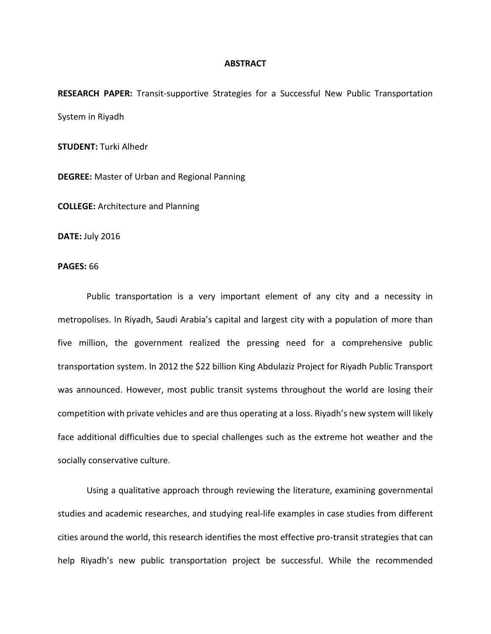## **ABSTRACT**

**RESEARCH PAPER:** Transit-supportive Strategies for a Successful New Public Transportation System in Riyadh

**STUDENT:** Turki Alhedr

**DEGREE:** Master of Urban and Regional Panning

**COLLEGE:** Architecture and Planning

**DATE:** July 2016

## **PAGES:** 66

Public transportation is a very important element of any city and a necessity in metropolises. In Riyadh, Saudi Arabia's capital and largest city with a population of more than five million, the government realized the pressing need for a comprehensive public transportation system. In 2012 the \$22 billion King Abdulaziz Project for Riyadh Public Transport was announced. However, most public transit systems throughout the world are losing their competition with private vehicles and are thus operating at a loss. Riyadh's new system will likely face additional difficulties due to special challenges such as the extreme hot weather and the socially conservative culture.

Using a qualitative approach through reviewing the literature, examining governmental studies and academic researches, and studying real-life examples in case studies from different cities around the world, this research identifies the most effective pro-transit strategies that can help Riyadh's new public transportation project be successful. While the recommended